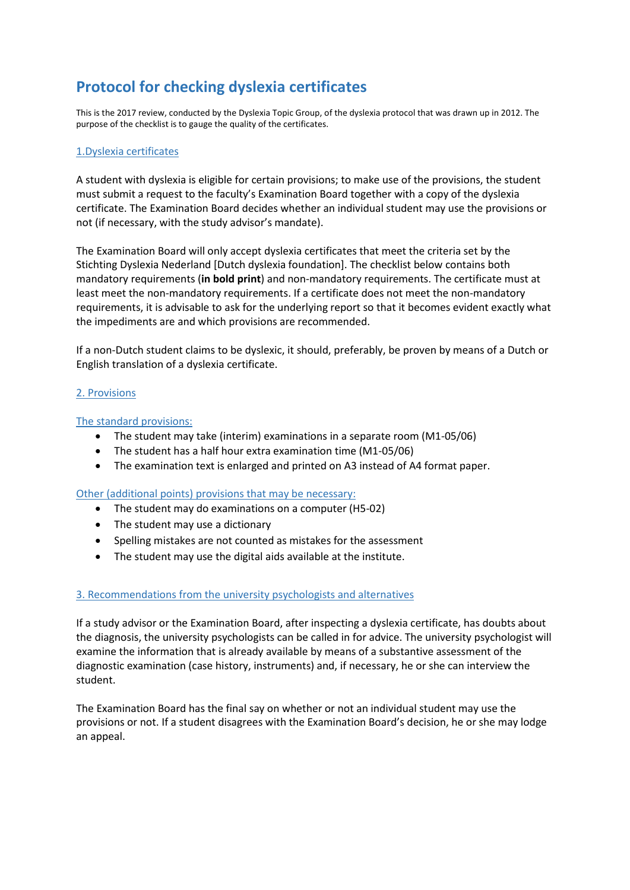# **Protocol for checking dyslexia certificates**

This is the 2017 review, conducted by the Dyslexia Topic Group, of the dyslexia protocol that was drawn up in 2012. The purpose of the checklist is to gauge the quality of the certificates.

#### 1.Dyslexia certificates

A student with dyslexia is eligible for certain provisions; to make use of the provisions, the student must submit a request to the faculty's Examination Board together with a copy of the dyslexia certificate. The Examination Board decides whether an individual student may use the provisions or not (if necessary, with the study advisor's mandate).

The Examination Board will only accept dyslexia certificates that meet the criteria set by the Stichting Dyslexia Nederland [Dutch dyslexia foundation]. The checklist below contains both mandatory requirements (**in bold print**) and non-mandatory requirements. The certificate must at least meet the non-mandatory requirements. If a certificate does not meet the non-mandatory requirements, it is advisable to ask for the underlying report so that it becomes evident exactly what the impediments are and which provisions are recommended.

If a non-Dutch student claims to be dyslexic, it should, preferably, be proven by means of a Dutch or English translation of a dyslexia certificate.

### 2. Provisions

### The standard provisions:

- The student may take (interim) examinations in a separate room (M1-05/06)
- The student has a half hour extra examination time (M1-05/06)
- The examination text is enlarged and printed on A3 instead of A4 format paper.

Other (additional points) provisions that may be necessary:

- The student may do examinations on a computer (H5-02)
- The student may use a dictionary
- Spelling mistakes are not counted as mistakes for the assessment
- The student may use the digital aids available at the institute.

## 3. Recommendations from the university psychologists and alternatives

If a study advisor or the Examination Board, after inspecting a dyslexia certificate, has doubts about the diagnosis, the university psychologists can be called in for advice. The university psychologist will examine the information that is already available by means of a substantive assessment of the diagnostic examination (case history, instruments) and, if necessary, he or she can interview the student.

The Examination Board has the final say on whether or not an individual student may use the provisions or not. If a student disagrees with the Examination Board's decision, he or she may lodge an appeal.